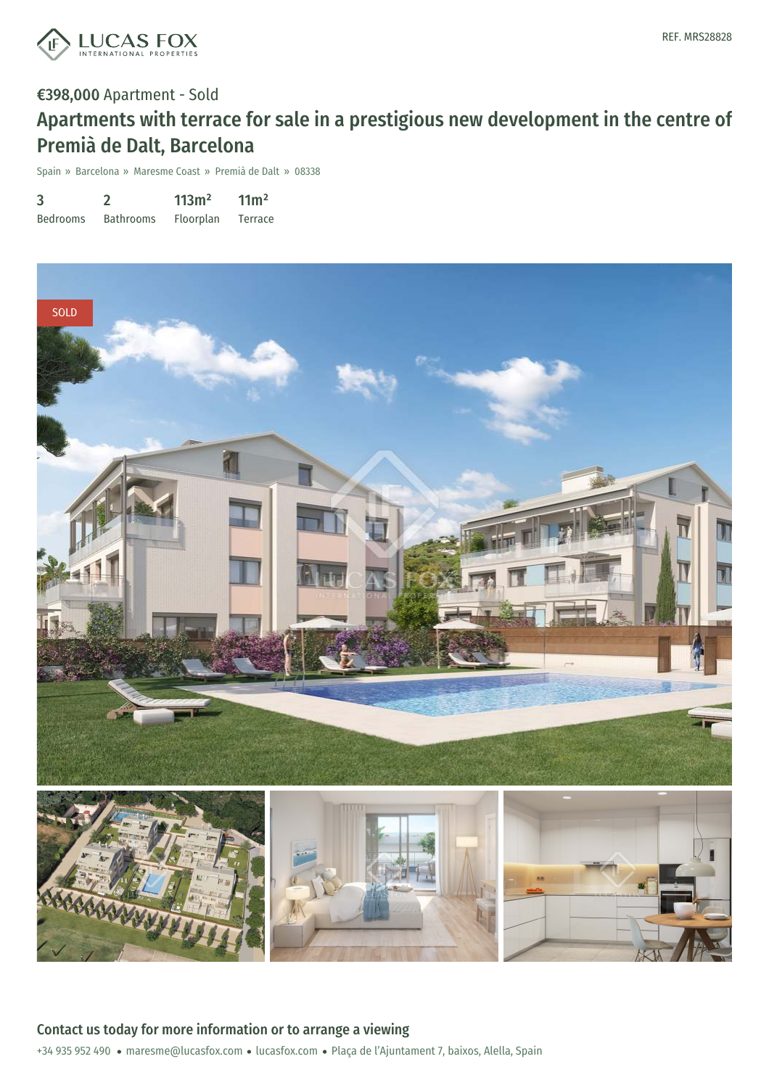

€398,000 Apartment - Sold

## Apartments with terrace for sale in a prestigious new development in the centre of Premià de Dalt, Barcelona

Spain » Barcelona » Maresme Coast » Premià de Dalt » 08338

| 3               |                  | 113m <sup>2</sup> | 11 <sup>m²</sup> |
|-----------------|------------------|-------------------|------------------|
| <b>Bedrooms</b> | <b>Bathrooms</b> | Floorplan         | Terrace          |

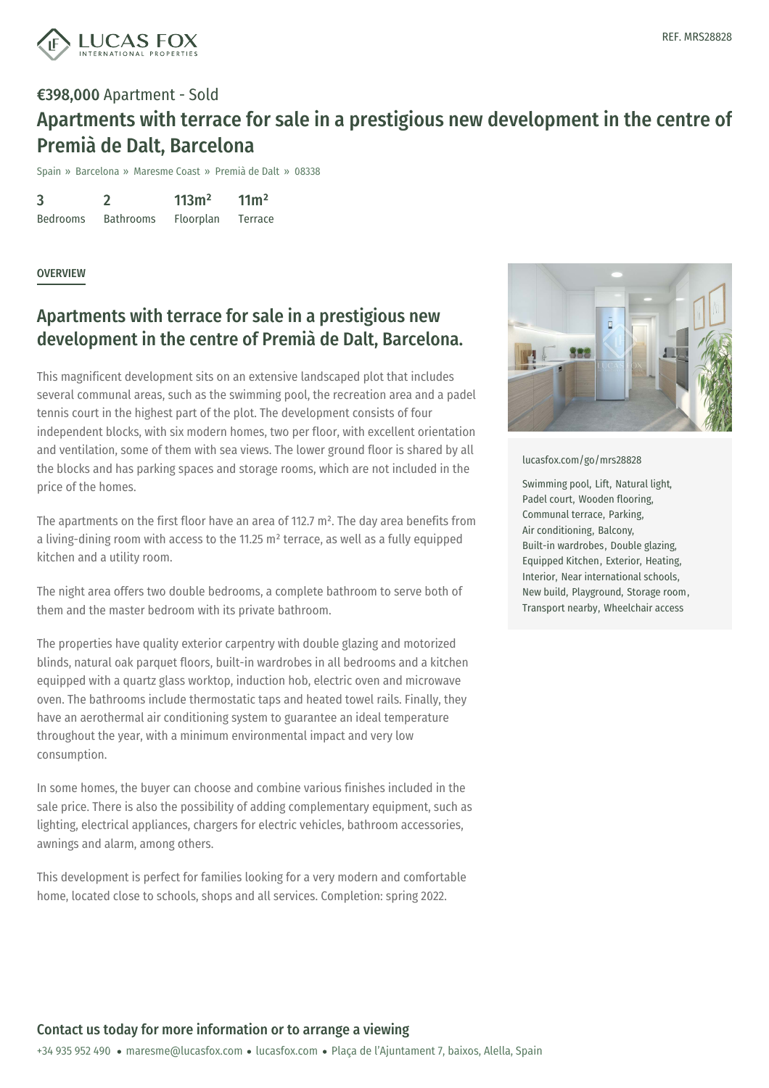

## €398,000 Apartment - Sold Apartments with terrace for sale in a prestigious new development in the centre of Premià de Dalt, Barcelona

Spain » Barcelona » Maresme Coast » Premià de Dalt » 08338

3 Bedrooms  $\mathfrak{D}$ Bathrooms 113m² Floorplan  $11<sup>m²</sup>$ Terrace

**OVERVIEW** 

## Apartments with terrace for sale in a prestigious new development in the centre of Premià de Dalt, Barcelona.

This magnificent development sits on an extensive landscaped plot that includes several communal areas, such as the swimming pool, the recreation area and a padel tennis court in the highest part of the plot. The development consists of four independent blocks, with six modern homes, two per floor, with excellent orientation and ventilation, some of them with sea views. The lower ground floor is shared by all the blocks and has parking spaces and storage rooms, which are not included in the price of the homes.

The apartments on the first floor have an area of 112.7  $m<sup>2</sup>$ . The day area benefits from a living-dining room with access to the 11.25 m² terrace, as well as a fully equipped kitchen and a utility room.

The night area offers two double bedrooms, a complete bathroom to serve both of them and the master bedroom with its private bathroom.

The properties have quality exterior carpentry with double glazing and motorized blinds, natural oak parquet floors, built-in wardrobes in all bedrooms and a kitchen equipped with a quartz glass worktop, induction hob, electric oven and microwave oven. The bathrooms include thermostatic taps and heated towel rails. Finally, they have an aerothermal air conditioning system to guarantee an ideal temperature throughout the year, with a minimum environmental impact and very low consumption.

In some homes, the buyer can [choose](mailto:maresme@lucasfox.com) and [combine](https://www.lucasfox.com) various finishes included in the sale price. There is also the possibility of adding complementary equipment, such as lighting, electrical appliances, chargers for electric vehicles, bathroom accessories, awnings and alarm, among others.

This development is perfect for families looking for a very modern and comfortable home, located close to schools, shops and all services. Completion: spring 2022.



[lucasfox.com/go/mrs28828](https://www.lucasfox.com/go/mrs28828)

Swimming pool, Lift, Natural light, Padel court, Wooden flooring, Communal terrace, Parking, Air conditioning, Balcony, Built-in wardrobes, Double glazing, Equipped Kitchen, Exterior, Heating, Interior, Near international schools, New build, Playground, Storage room, Transport nearby, Wheelchair access